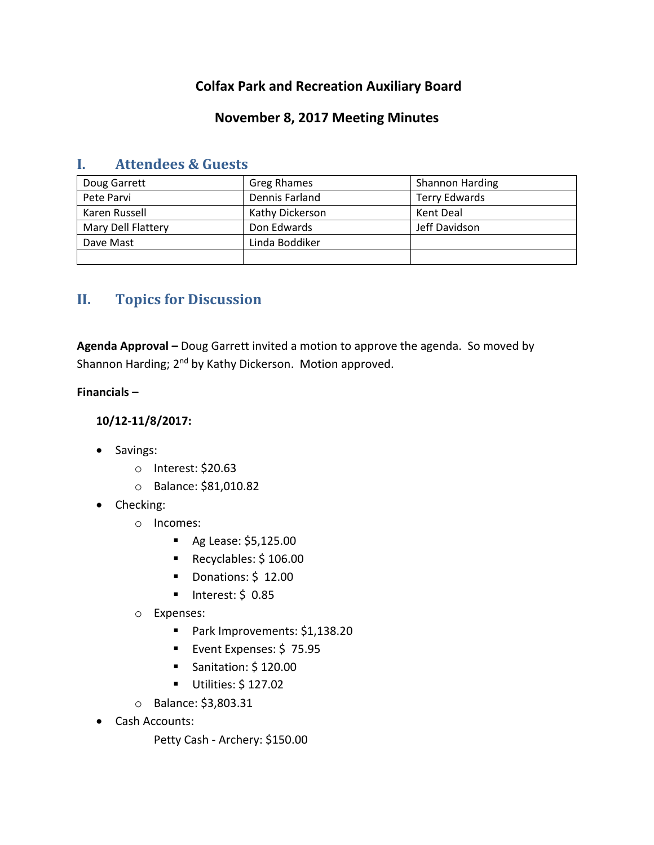# **Colfax Park and Recreation Auxiliary Board**

## **November 8, 2017 Meeting Minutes**

| Doug Garrett       | Greg Rhames     | Shannon Harding      |
|--------------------|-----------------|----------------------|
| Pete Parvi         | Dennis Farland  | <b>Terry Edwards</b> |
| Karen Russell      | Kathy Dickerson | Kent Deal            |
| Mary Dell Flattery | Don Edwards     | Jeff Davidson        |
| Dave Mast          | Linda Boddiker  |                      |
|                    |                 |                      |

## **I. Attendees & Guests**

# **II. Topics for Discussion**

**Agenda Approval –** Doug Garrett invited a motion to approve the agenda. So moved by Shannon Harding; 2<sup>nd</sup> by Kathy Dickerson. Motion approved.

**Financials –**

**10/12-11/8/2017:**

- Savings:
	- o Interest: \$20.63
	- o Balance: \$81,010.82
- Checking:
	- o Incomes:
		- Ag Lease: \$5,125.00
		- Recyclables: \$106.00
		- Donations: \$12.00
		- $\blacksquare$  Interest: \$ 0.85
	- o Expenses:
		- Park Improvements: \$1,138.20
		- **Event Expenses: \$75.95**
		- Sanitation: \$120.00
		- Utilities: \$ 127.02
	- o Balance: \$3,803.31
- Cash Accounts:
	- Petty Cash Archery: \$150.00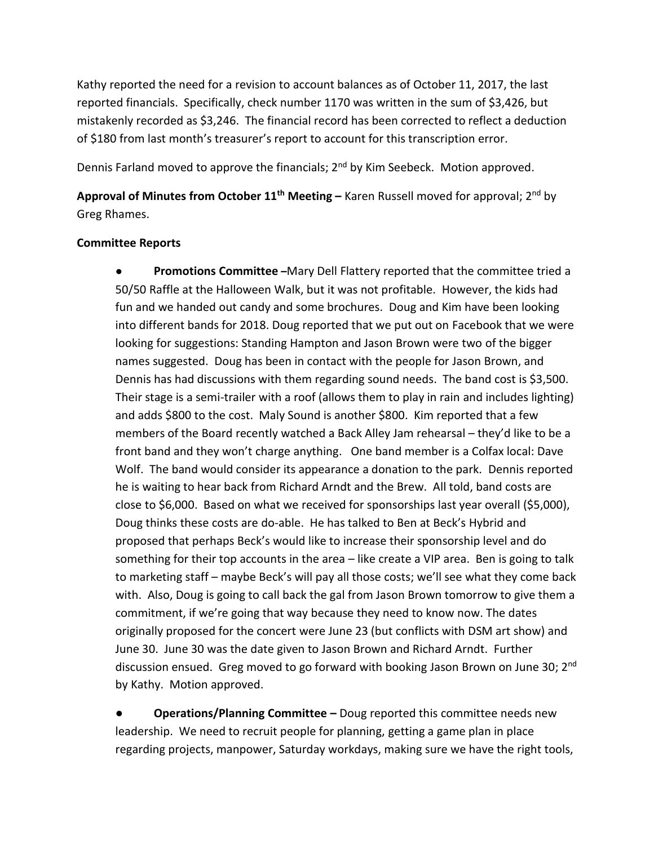Kathy reported the need for a revision to account balances as of October 11, 2017, the last reported financials. Specifically, check number 1170 was written in the sum of \$3,426, but mistakenly recorded as \$3,246. The financial record has been corrected to reflect a deduction of \$180 from last month's treasurer's report to account for this transcription error.

Dennis Farland moved to approve the financials; 2<sup>nd</sup> by Kim Seebeck. Motion approved.

**Approval of Minutes from October 11th Meeting –** Karen Russell moved for approval; 2 nd by Greg Rhames.

#### **Committee Reports**

● **Promotions Committee –**Mary Dell Flattery reported that the committee tried a 50/50 Raffle at the Halloween Walk, but it was not profitable. However, the kids had fun and we handed out candy and some brochures. Doug and Kim have been looking into different bands for 2018. Doug reported that we put out on Facebook that we were looking for suggestions: Standing Hampton and Jason Brown were two of the bigger names suggested. Doug has been in contact with the people for Jason Brown, and Dennis has had discussions with them regarding sound needs. The band cost is \$3,500. Their stage is a semi-trailer with a roof (allows them to play in rain and includes lighting) and adds \$800 to the cost. Maly Sound is another \$800. Kim reported that a few members of the Board recently watched a Back Alley Jam rehearsal – they'd like to be a front band and they won't charge anything. One band member is a Colfax local: Dave Wolf. The band would consider its appearance a donation to the park. Dennis reported he is waiting to hear back from Richard Arndt and the Brew. All told, band costs are close to \$6,000. Based on what we received for sponsorships last year overall (\$5,000), Doug thinks these costs are do-able. He has talked to Ben at Beck's Hybrid and proposed that perhaps Beck's would like to increase their sponsorship level and do something for their top accounts in the area – like create a VIP area. Ben is going to talk to marketing staff – maybe Beck's will pay all those costs; we'll see what they come back with. Also, Doug is going to call back the gal from Jason Brown tomorrow to give them a commitment, if we're going that way because they need to know now. The dates originally proposed for the concert were June 23 (but conflicts with DSM art show) and June 30. June 30 was the date given to Jason Brown and Richard Arndt. Further discussion ensued. Greg moved to go forward with booking Jason Brown on June 30; 2<sup>nd</sup> by Kathy. Motion approved.

**● Operations/Planning Committee –** Doug reported this committee needs new leadership. We need to recruit people for planning, getting a game plan in place regarding projects, manpower, Saturday workdays, making sure we have the right tools,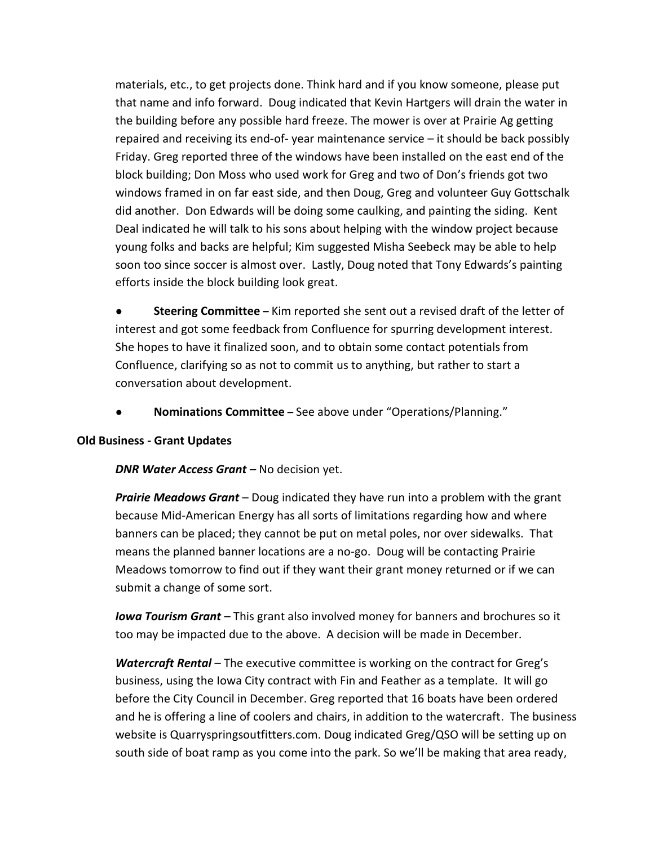materials, etc., to get projects done. Think hard and if you know someone, please put that name and info forward. Doug indicated that Kevin Hartgers will drain the water in the building before any possible hard freeze. The mower is over at Prairie Ag getting repaired and receiving its end-of- year maintenance service – it should be back possibly Friday. Greg reported three of the windows have been installed on the east end of the block building; Don Moss who used work for Greg and two of Don's friends got two windows framed in on far east side, and then Doug, Greg and volunteer Guy Gottschalk did another. Don Edwards will be doing some caulking, and painting the siding. Kent Deal indicated he will talk to his sons about helping with the window project because young folks and backs are helpful; Kim suggested Misha Seebeck may be able to help soon too since soccer is almost over. Lastly, Doug noted that Tony Edwards's painting efforts inside the block building look great.

**Steering Committee** – Kim reported she sent out a revised draft of the letter of interest and got some feedback from Confluence for spurring development interest. She hopes to have it finalized soon, and to obtain some contact potentials from Confluence, clarifying so as not to commit us to anything, but rather to start a conversation about development.

● **Nominations Committee –** See above under "Operations/Planning."

### **Old Business - Grant Updates**

*DNR Water Access Grant* – No decision yet.

*Prairie Meadows Grant* – Doug indicated they have run into a problem with the grant because Mid-American Energy has all sorts of limitations regarding how and where banners can be placed; they cannot be put on metal poles, nor over sidewalks. That means the planned banner locations are a no-go. Doug will be contacting Prairie Meadows tomorrow to find out if they want their grant money returned or if we can submit a change of some sort.

*Iowa Tourism Grant* – This grant also involved money for banners and brochures so it too may be impacted due to the above. A decision will be made in December.

*Watercraft Rental* – The executive committee is working on the contract for Greg's business, using the Iowa City contract with Fin and Feather as a template. It will go before the City Council in December. Greg reported that 16 boats have been ordered and he is offering a line of coolers and chairs, in addition to the watercraft. The business website is Quarryspringsoutfitters.com. Doug indicated Greg/QSO will be setting up on south side of boat ramp as you come into the park. So we'll be making that area ready,